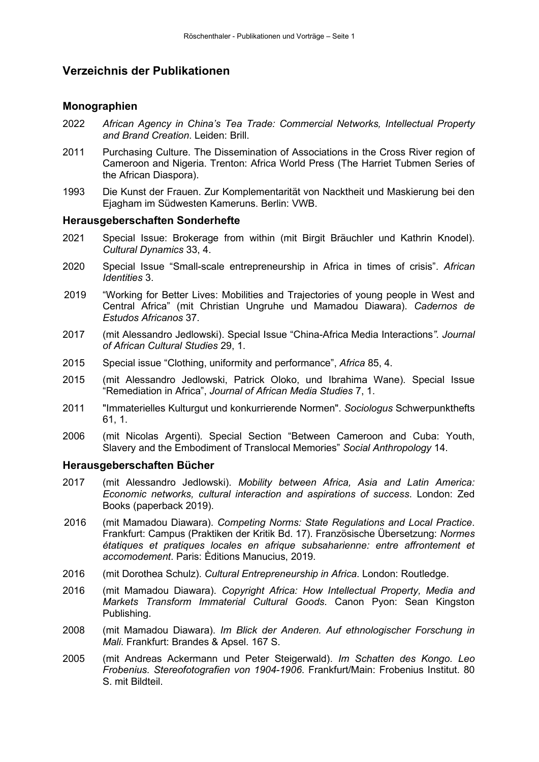# **Verzeichnis der Publikationen**

#### **Monographien**

- 2022 *African Agency in China's Tea Trade: Commercial Networks, Intellectual Property and Brand Creation*. Leiden: Brill.
- 2011 Purchasing Culture. The Dissemination of Associations in the Cross River region of Cameroon and Nigeria. Trenton: Africa World Press (The Harriet Tubmen Series of the African Diaspora).
- 1993 Die Kunst der Frauen. Zur Komplementarität von Nacktheit und Maskierung bei den Ejagham im Südwesten Kameruns. Berlin: VWB.

#### **Herausgeberschaften Sonderhefte**

- 2021 Special Issue: Brokerage from within (mit Birgit Bräuchler und Kathrin Knodel). *Cultural Dynamics* 33, 4.
- 2020 Special Issue "Small-scale entrepreneurship in Africa in times of crisis". *African Identities* 3.
- 2019 "Working for Better Lives: Mobilities and Trajectories of young people in West and Central Africa" (mit Christian Ungruhe und Mamadou Diawara). *Cadernos de Estudos Africanos* 37.
- 2017 (mit Alessandro Jedlowski). Special Issue "China-Africa Media Interactions*". Journal of African Cultural Studies* 29, 1.
- 2015 Special issue "Clothing, uniformity and performance", *Africa* 85, 4.
- 2015 (mit Alessandro Jedlowski, Patrick Oloko, und Ibrahima Wane). Special Issue "Remediation in Africa", *Journal of African Media Studies* 7, 1.
- 2011 "Immaterielles Kulturgut und konkurrierende Normen". *Sociologus* Schwerpunkthefts 61, 1.
- 2006 (mit Nicolas Argenti). Special Section "Between Cameroon and Cuba: Youth, Slavery and the Embodiment of Translocal Memories" *Social Anthropology* 14.

#### **Herausgeberschaften Bücher**

- 2017 (mit Alessandro Jedlowski). *Mobility between Africa, Asia and Latin America: Economic networks, cultural interaction and aspirations of success*. London: Zed Books (paperback 2019).
- 2016 (mit Mamadou Diawara). *Competing Norms: State Regulations and Local Practice*. Frankfurt: Campus (Praktiken der Kritik Bd. 17). Französische Übersetzung: *Normes étatiques et pratiques locales en afrique subsaharienne: entre affrontement et accomodement*. Paris: Èditions Manucius, 2019.
- 2016 (mit Dorothea Schulz). *Cultural Entrepreneurship in Africa*. London: Routledge.
- 2016 (mit Mamadou Diawara). *Copyright Africa: How Intellectual Property, Media and Markets Transform Immaterial Cultural Goods*. Canon Pyon: Sean Kingston Publishing.
- 2008 (mit Mamadou Diawara). *Im Blick der Anderen. Auf ethnologischer Forschung in Mali*. Frankfurt: Brandes & Apsel. 167 S.
- 2005 (mit Andreas Ackermann und Peter Steigerwald). *Im Schatten des Kongo. Leo Frobenius. Stereofotografien von 1904-1906*. Frankfurt/Main: Frobenius Institut. 80 S. mit Bildteil.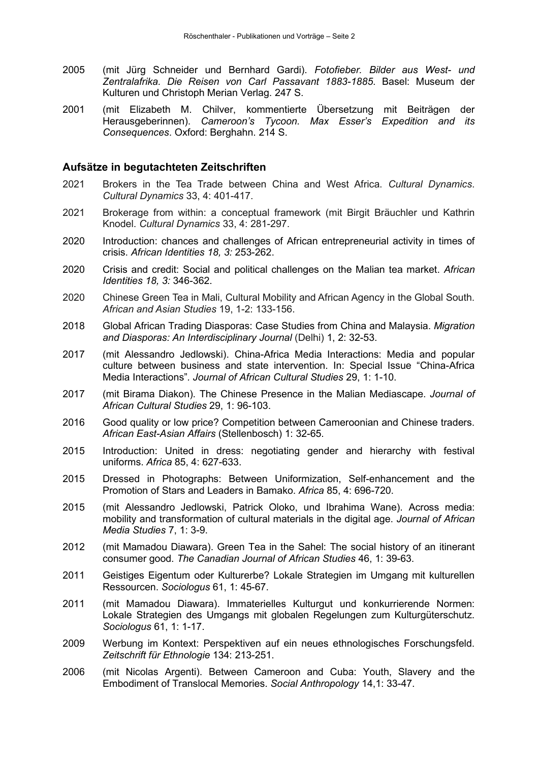- 2005 (mit Jürg Schneider und Bernhard Gardi). *Fotofieber. Bilder aus West- und Zentralafrika. Die Reisen von Carl Passavant 1883-1885*. Basel: Museum der Kulturen und Christoph Merian Verlag. 247 S.
- 2001 (mit Elizabeth M. Chilver, kommentierte Übersetzung mit Beiträgen der Herausgeberinnen). *Cameroon's Tycoon. Max Esser's Expedition and its Consequences*. Oxford: Berghahn. 214 S.

### **Aufsätze in begutachteten Zeitschriften**

- 2021 Brokers in the Tea Trade between China and West Africa. *Cultural Dynamics*. *Cultural Dynamics* 33, 4: 401-417.
- 2021 Brokerage from within: a conceptual framework (mit Birgit Bräuchler und Kathrin Knodel. *Cultural Dynamics* 33, 4: 281-297.
- 2020 Introduction: chances and challenges of African entrepreneurial activity in times of crisis. *African Identities 18, 3:* 253-262.
- 2020 Crisis and credit: Social and political challenges on the Malian tea market. *African Identities 18, 3:* 346-362.
- 2020 Chinese Green Tea in Mali, Cultural Mobility and African Agency in the Global South. *African and Asian Studies* 19, 1-2: 133-156.
- 2018 Global African Trading Diasporas: Case Studies from China and Malaysia. *Migration and Diasporas: An Interdisciplinary Journal* (Delhi) 1, 2: 32-53.
- 2017 (mit Alessandro Jedlowski). China-Africa Media Interactions: Media and popular culture between business and state intervention. In: Special Issue "China-Africa Media Interactions"*. Journal of African Cultural Studies* 29, 1: 1-10.
- 2017 (mit Birama Diakon). The Chinese Presence in the Malian Mediascape. *Journal of African Cultural Studies* 29, 1: 96-103.
- 2016 Good quality or low price? Competition between Cameroonian and Chinese traders. *African East-Asian Affairs* (Stellenbosch) 1: 32-65.
- 2015 Introduction: United in dress: negotiating gender and hierarchy with festival uniforms. *Africa* 85, 4: 627-633.
- 2015 Dressed in Photographs: Between Uniformization, Self-enhancement and the Promotion of Stars and Leaders in Bamako. *Africa* 85, 4: 696-720.
- 2015 (mit Alessandro Jedlowski, Patrick Oloko, und Ibrahima Wane). Across media: mobility and transformation of cultural materials in the digital age. *Journal of African Media Studies* 7, 1: 3-9.
- 2012 (mit Mamadou Diawara). Green Tea in the Sahel: The social history of an itinerant consumer good. *The Canadian Journal of African Studies* 46, 1: 39-63.
- 2011 Geistiges Eigentum oder Kulturerbe? Lokale Strategien im Umgang mit kulturellen Ressourcen. *Sociologus* 61, 1: 45-67.
- 2011 (mit Mamadou Diawara). Immaterielles Kulturgut und konkurrierende Normen: Lokale Strategien des Umgangs mit globalen Regelungen zum Kulturgüterschutz. *Sociologus* 61, 1: 1-17.
- 2009 Werbung im Kontext: Perspektiven auf ein neues ethnologisches Forschungsfeld. *Zeitschrift für Ethnologie* 134: 213-251.
- 2006 (mit Nicolas Argenti). Between Cameroon and Cuba: Youth, Slavery and the Embodiment of Translocal Memories. *Social Anthropology* 14,1: 33-47.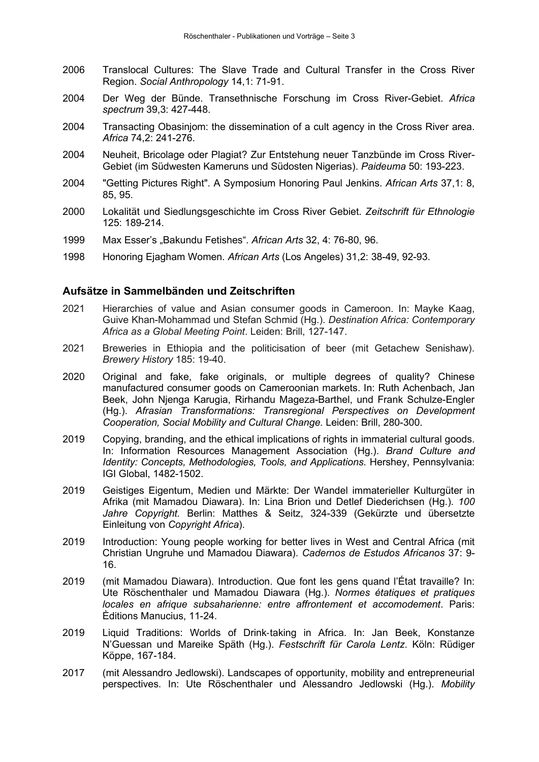- 2006 Translocal Cultures: The Slave Trade and Cultural Transfer in the Cross River Region. *Social Anthropology* 14,1: 71-91.
- 2004 Der Weg der Bünde. Transethnische Forschung im Cross River-Gebiet. *Africa spectrum* 39,3: 427-448.
- 2004 Transacting Obasinjom: the dissemination of a cult agency in the Cross River area. *Africa* 74,2: 241-276.
- 2004 Neuheit, Bricolage oder Plagiat? Zur Entstehung neuer Tanzbünde im Cross River-Gebiet (im Südwesten Kameruns und Südosten Nigerias). *Paideuma* 50: 193-223.
- 2004 "Getting Pictures Right". A Symposium Honoring Paul Jenkins. *African Arts* 37,1: 8, 85, 95.
- 2000 Lokalität und Siedlungsgeschichte im Cross River Gebiet. *Zeitschrift für Ethnologie*  125: 189-214.
- 1999 Max Esser's "Bakundu Fetishes". *African Arts* 32, 4: 76-80, 96.
- 1998 Honoring Ejagham Women. *African Arts* (Los Angeles) 31,2: 38-49, 92-93.

### **Aufsätze in Sammelbänden und Zeitschriften**

- 2021 Hierarchies of value and Asian consumer goods in Cameroon. In: Mayke Kaag, Guive Khan-Mohammad und Stefan Schmid (Hg.). *Destination Africa: Contemporary Africa as a Global Meeting Point*. Leiden: Brill, 127-147.
- 2021 Breweries in Ethiopia and the politicisation of beer (mit Getachew Senishaw). *Brewery History* 185: 19-40.
- 2020 Original and fake, fake originals, or multiple degrees of quality? Chinese manufactured consumer goods on Cameroonian markets. In: Ruth Achenbach, Jan Beek, John Njenga Karugia, Rirhandu Mageza-Barthel, und Frank Schulze-Engler (Hg.). *Afrasian Transformations: Transregional Perspectives on Development Cooperation, Social Mobility and Cultural Change.* Leiden: Brill, 280-300.
- 2019 Copying, branding, and the ethical implications of rights in immaterial cultural goods. In: Information Resources Management Association (Hg.). *Brand Culture and Identity: Concepts, Methodologies, Tools, and Applications.* Hershey, Pennsylvania: IGI Global, 1482-1502.
- 2019 Geistiges Eigentum, Medien und Märkte: Der Wandel immaterieller Kulturgüter in Afrika (mit Mamadou Diawara). In: Lina Brion und Detlef Diederichsen (Hg.). *100 Jahre Copyright.* Berlin: Matthes & Seitz, 324-339 (Gekürzte und übersetzte Einleitung von *Copyright Africa*).
- 2019 Introduction: Young people working for better lives in West and Central Africa (mit Christian Ungruhe und Mamadou Diawara). *Cadernos de Estudos Africanos* 37: 9- 16.
- 2019 (mit Mamadou Diawara). Introduction. Que font les gens quand l'État travaille? In: Ute Röschenthaler und Mamadou Diawara (Hg.). *Normes étatiques et pratiques locales en afrique subsaharienne: entre affrontement et accomodement*. Paris: Èditions Manucius, 11-24.
- 2019 Liquid Traditions: Worlds of Drink‐taking in Africa. In: Jan Beek, Konstanze N'Guessan und Mareike Späth (Hg.). *Festschrift für Carola Lentz*. Köln: Rüdiger Köppe, 167-184.
- 2017 (mit Alessandro Jedlowski). Landscapes of opportunity, mobility and entrepreneurial perspectives. In: Ute Röschenthaler und Alessandro Jedlowski (Hg.). *Mobility*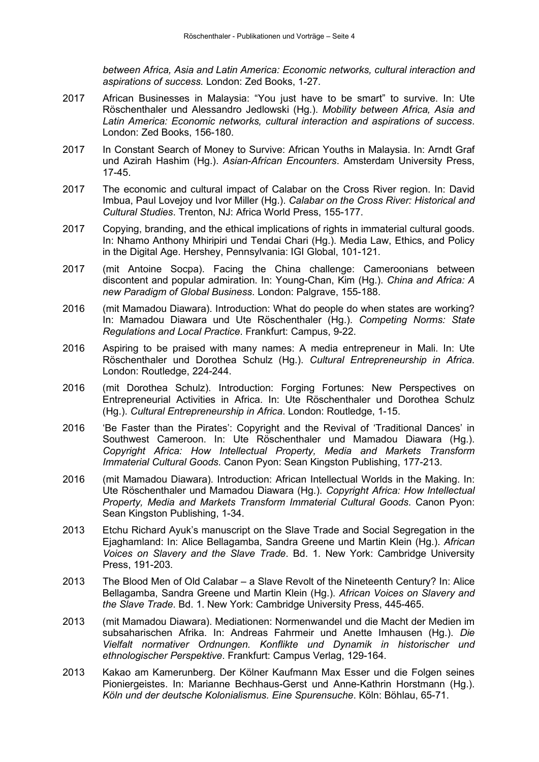*between Africa, Asia and Latin America: Economic networks, cultural interaction and aspirations of success.* London: Zed Books, 1-27.

- 2017 African Businesses in Malaysia: "You just have to be smart" to survive. In: Ute Röschenthaler und Alessandro Jedlowski (Hg.). *Mobility between Africa, Asia and Latin America: Economic networks, cultural interaction and aspirations of success*. London: Zed Books, 156-180.
- 2017 In Constant Search of Money to Survive: African Youths in Malaysia. In: Arndt Graf und Azirah Hashim (Hg.). *Asian-African Encounters*. Amsterdam University Press, 17-45.
- 2017 The economic and cultural impact of Calabar on the Cross River region. In: David Imbua, Paul Lovejoy und Ivor Miller (Hg.). *Calabar on the Cross River: Historical and Cultural Studies*. Trenton, NJ: Africa World Press, 155-177.
- 2017 Copying, branding, and the ethical implications of rights in immaterial cultural goods. In: Nhamo Anthony Mhiripiri und Tendai Chari (Hg.). Media Law, Ethics, and Policy in the Digital Age. Hershey, Pennsylvania: IGI Global, 101-121.
- 2017 (mit Antoine Socpa). Facing the China challenge: Cameroonians between discontent and popular admiration. In: Young-Chan, Kim (Hg.). *China and Africa: A new Paradigm of Global Business*. London: Palgrave, 155-188.
- 2016 (mit Mamadou Diawara). Introduction: What do people do when states are working? In: Mamadou Diawara und Ute Röschenthaler (Hg.). *Competing Norms: State Regulations and Local Practice*. Frankfurt: Campus, 9-22.
- 2016 Aspiring to be praised with many names: A media entrepreneur in Mali. In: Ute Röschenthaler und Dorothea Schulz (Hg.). *Cultural Entrepreneurship in Africa*. London: Routledge, 224-244.
- 2016 (mit Dorothea Schulz). Introduction: Forging Fortunes: New Perspectives on Entrepreneurial Activities in Africa. In: Ute Röschenthaler und Dorothea Schulz (Hg.). *Cultural Entrepreneurship in Africa*. London: Routledge, 1-15.
- 2016 'Be Faster than the Pirates': Copyright and the Revival of 'Traditional Dances' in Southwest Cameroon. In: Ute Röschenthaler und Mamadou Diawara (Hg.). *Copyright Africa: How Intellectual Property, Media and Markets Transform Immaterial Cultural Goods*. Canon Pyon: Sean Kingston Publishing, 177-213.
- 2016 (mit Mamadou Diawara). Introduction: African Intellectual Worlds in the Making. In: Ute Röschenthaler und Mamadou Diawara (Hg.). *Copyright Africa: How Intellectual Property, Media and Markets Transform Immaterial Cultural Goods*. Canon Pyon: Sean Kingston Publishing, 1-34.
- 2013 Etchu Richard Ayuk's manuscript on the Slave Trade and Social Segregation in the Ejaghamland: In: Alice Bellagamba, Sandra Greene und Martin Klein (Hg.). *African Voices on Slavery and the Slave Trade*. Bd. 1. New York: Cambridge University Press, 191-203.
- 2013 The Blood Men of Old Calabar a Slave Revolt of the Nineteenth Century? In: Alice Bellagamba, Sandra Greene und Martin Klein (Hg.). *African Voices on Slavery and the Slave Trade*. Bd. 1. New York: Cambridge University Press, 445-465.
- 2013 (mit Mamadou Diawara). Mediationen: Normenwandel und die Macht der Medien im subsaharischen Afrika. In: Andreas Fahrmeir und Anette Imhausen (Hg.). *Die Vielfalt normativer Ordnungen. Konflikte und Dynamik in historischer und ethnologischer Perspektive*. Frankfurt: Campus Verlag, 129-164.
- 2013 Kakao am Kamerunberg. Der Kölner Kaufmann Max Esser und die Folgen seines Pioniergeistes. In: Marianne Bechhaus-Gerst und Anne-Kathrin Horstmann (Hg.). *Köln und der deutsche Kolonialismus. Eine Spurensuche*. Köln: Böhlau, 65-71.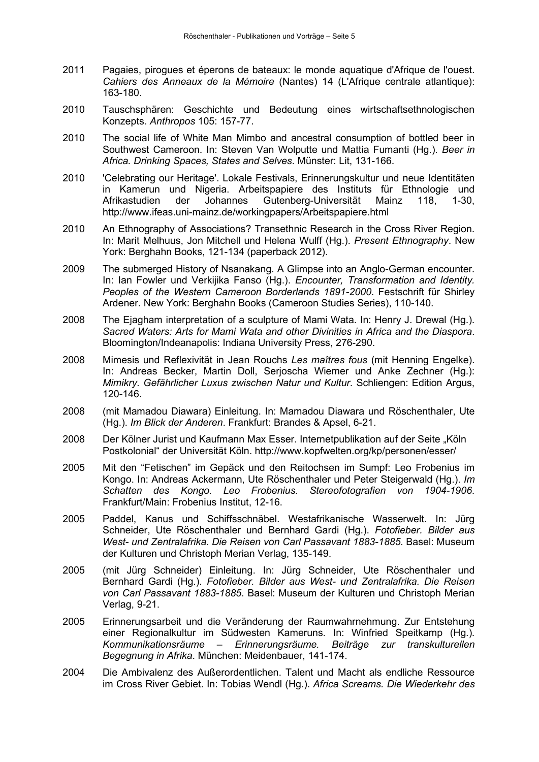- 2011 Pagaies, pirogues et éperons de bateaux: le monde aquatique d'Afrique de l'ouest. *Cahiers des Anneaux de la Mémoire* (Nantes) 14 (L'Afrique centrale atlantique): 163-180.
- 2010 Tauschsphären: Geschichte und Bedeutung eines wirtschaftsethnologischen Konzepts. *Anthropos* 105: 157-77.
- 2010 The social life of White Man Mimbo and ancestral consumption of bottled beer in Southwest Cameroon. In: Steven Van Wolputte und Mattia Fumanti (Hg.). *Beer in Africa. Drinking Spaces, States and Selves*. Münster: Lit, 131-166.
- 2010 'Celebrating our Heritage'. Lokale Festivals, Erinnerungskultur und neue Identitäten in Kamerun und Nigeria. Arbeitspapiere des Instituts für Ethnologie und Afrikastudien der Johannes Gutenberg-Universität Mainz 118, 1-30, http://www.ifeas.uni-mainz.de/workingpapers/Arbeitspapiere.html
- 2010 An Ethnography of Associations? Transethnic Research in the Cross River Region. In: Marit Melhuus, Jon Mitchell und Helena Wulff (Hg.). *Present Ethnography*. New York: Berghahn Books, 121-134 (paperback 2012).
- 2009 The submerged History of Nsanakang. A Glimpse into an Anglo-German encounter. In: Ian Fowler und Verkijika Fanso (Hg.). *Encounter, Transformation and Identity. Peoples of the Western Cameroon Borderlands 1891-2000*. Festschrift für Shirley Ardener. New York: Berghahn Books (Cameroon Studies Series), 110-140.
- 2008 The Ejagham interpretation of a sculpture of Mami Wata. In: Henry J. Drewal (Hg.). *Sacred Waters: Arts for Mami Wata and other Divinities in Africa and the Diaspora*. Bloomington/Indeanapolis: Indiana University Press, 276-290.
- 2008 Mimesis und Reflexivität in Jean Rouchs *Les maîtres fous* (mit Henning Engelke). In: Andreas Becker, Martin Doll, Serjoscha Wiemer und Anke Zechner (Hg.): *Mimikry. Gefährlicher Luxus zwischen Natur und Kultur*. Schliengen: Edition Argus, 120-146.
- 2008 (mit Mamadou Diawara) Einleitung. In: Mamadou Diawara und Röschenthaler, Ute (Hg.). *Im Blick der Anderen*. Frankfurt: Brandes & Apsel, 6-21.
- 2008 Der Kölner Jurist und Kaufmann Max Esser. Internetpublikation auf der Seite "Köln Postkolonial" der Universität Köln. http://www.kopfwelten.org/kp/personen/esser/
- 2005 Mit den "Fetischen" im Gepäck und den Reitochsen im Sumpf: Leo Frobenius im Kongo. In: Andreas Ackermann, Ute Röschenthaler und Peter Steigerwald (Hg.). *Im Schatten des Kongo. Leo Frobenius. Stereofotografien von 1904-1906*. Frankfurt/Main: Frobenius Institut, 12-16.
- 2005 Paddel, Kanus und Schiffsschnäbel. Westafrikanische Wasserwelt. In: Jürg Schneider, Ute Röschenthaler und Bernhard Gardi (Hg.). *Fotofieber. Bilder aus West- und Zentralafrika. Die Reisen von Carl Passavant 1883-1885*. Basel: Museum der Kulturen und Christoph Merian Verlag, 135-149.
- 2005 (mit Jürg Schneider) Einleitung. In: Jürg Schneider, Ute Röschenthaler und Bernhard Gardi (Hg.). *Fotofieber. Bilder aus West- und Zentralafrika. Die Reisen von Carl Passavant 1883-1885*. Basel: Museum der Kulturen und Christoph Merian Verlag, 9-21.
- 2005 Erinnerungsarbeit und die Veränderung der Raumwahrnehmung. Zur Entstehung einer Regionalkultur im Südwesten Kameruns. In: Winfried Speitkamp (Hg.). *Kommunikationsräume – Erinnerungsräume. Beiträge zur transkulturellen Begegnung in Afrika*. München: Meidenbauer, 141-174.
- 2004 Die Ambivalenz des Außerordentlichen. Talent und Macht als endliche Ressource im Cross River Gebiet. In: Tobias Wendl (Hg.). *Africa Screams. Die Wiederkehr des*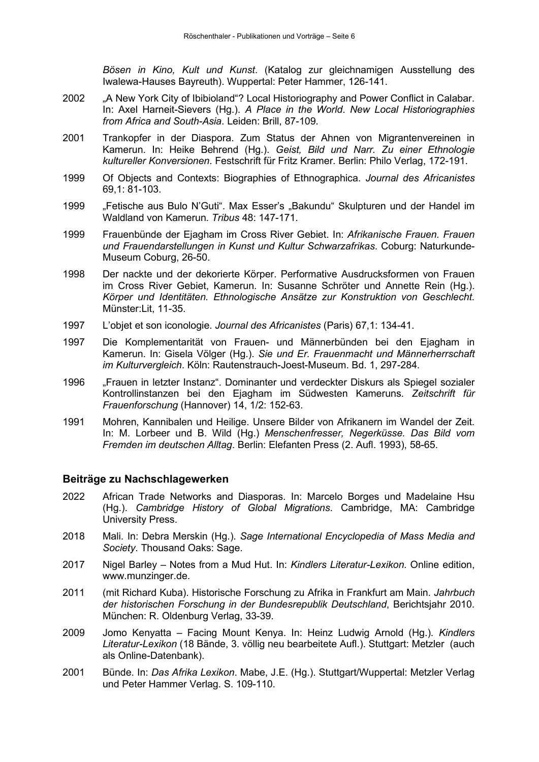*Bösen in Kino, Kult und Kunst*. (Katalog zur gleichnamigen Ausstellung des Iwalewa-Hauses Bayreuth). Wuppertal: Peter Hammer, 126-141.

- 2002 "A New York City of Ibibioland"? Local Historiography and Power Conflict in Calabar. In: Axel Harneit-Sievers (Hg.). *A Place in the World*. *New Local Historiographies from Africa and South-Asia*. Leiden: Brill, 87-109.
- 2001 Trankopfer in der Diaspora. Zum Status der Ahnen von Migrantenvereinen in Kamerun. In: Heike Behrend (Hg.). *Geist, Bild und Narr. Zu einer Ethnologie kultureller Konversionen*. Festschrift für Fritz Kramer. Berlin: Philo Verlag, 172-191.
- 1999 Of Objects and Contexts: Biographies of Ethnographica. *Journal des Africanistes*  69,1: 81-103.
- 1999 "Fetische aus Bulo N'Guti". Max Esser's "Bakundu" Skulpturen und der Handel im Waldland von Kamerun. *Tribus* 48: 147-171.
- 1999 Frauenbünde der Ejagham im Cross River Gebiet. In: *Afrikanische Frauen. Frauen und Frauendarstellungen in Kunst und Kultur Schwarzafrikas*. Coburg: Naturkunde-Museum Coburg, 26-50.
- 1998 Der nackte und der dekorierte Körper. Performative Ausdrucksformen von Frauen im Cross River Gebiet, Kamerun. In: Susanne Schröter und Annette Rein (Hg.). *Körper und Identitäten. Ethnologische Ansätze zur Konstruktion von Geschlecht.* Münster:Lit, 11-35.
- 1997 L'objet et son iconologie. *Journal des Africanistes* (Paris) 67,1: 134-41.
- 1997 Die Komplementarität von Frauen- und Männerbünden bei den Ejagham in Kamerun. In: Gisela Völger (Hg.). *Sie und Er. Frauenmacht und Männerherrschaft im Kulturvergleich*. Köln: Rautenstrauch-Joest-Museum. Bd. 1, 297-284.
- 1996 "Frauen in letzter Instanz". Dominanter und verdeckter Diskurs als Spiegel sozialer Kontrollinstanzen bei den Ejagham im Südwesten Kameruns. *Zeitschrift für Frauenforschung* (Hannover) 14, 1/2: 152-63.
- 1991 Mohren, Kannibalen und Heilige. Unsere Bilder von Afrikanern im Wandel der Zeit. In: M. Lorbeer und B. Wild (Hg.) *Menschenfresser, Negerküsse. Das Bild vom Fremden im deutschen Alltag*. Berlin: Elefanten Press (2. Aufl. 1993), 58-65.

# **Beiträge zu Nachschlagewerken**

- 2022 African Trade Networks and Diasporas. In: Marcelo Borges und Madelaine Hsu (Hg.). *Cambridge History of Global Migrations*. Cambridge, MA: Cambridge University Press.
- 2018 Mali. In: Debra Merskin (Hg.). *Sage International Encyclopedia of Mass Media and Society*. Thousand Oaks: Sage.
- 2017 Nigel Barley Notes from a Mud Hut. In: *Kindlers Literatur-Lexikon.* Online edition, www.munzinger.de.
- 2011 (mit Richard Kuba). Historische Forschung zu Afrika in Frankfurt am Main. *Jahrbuch der historischen Forschung in der Bundesrepublik Deutschland*, Berichtsjahr 2010. München: R. Oldenburg Verlag, 33-39.
- 2009 Jomo Kenyatta Facing Mount Kenya. In: Heinz Ludwig Arnold (Hg.). *Kindlers Literatur-Lexikon* (18 Bände, 3. völlig neu bearbeitete Aufl.). Stuttgart: Metzler (auch als Online-Datenbank).
- 2001 Bünde. In: *Das Afrika Lexikon*. Mabe, J.E. (Hg.). Stuttgart/Wuppertal: Metzler Verlag und Peter Hammer Verlag. S. 109-110.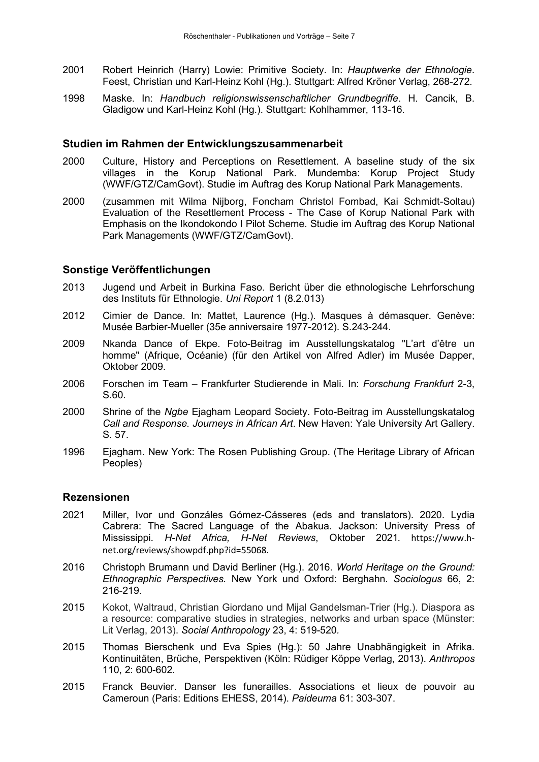- 2001 Robert Heinrich (Harry) Lowie: Primitive Society. In: *Hauptwerke der Ethnologie*. Feest, Christian und Karl-Heinz Kohl (Hg.). Stuttgart: Alfred Kröner Verlag, 268-272.
- 1998 Maske. In: *Handbuch religionswissenschaftlicher Grundbegriffe*. H. Cancik, B. Gladigow und Karl-Heinz Kohl (Hg.). Stuttgart: Kohlhammer, 113-16.

#### **Studien im Rahmen der Entwicklungszusammenarbeit**

- 2000 Culture, History and Perceptions on Resettlement. A baseline study of the six villages in the Korup National Park. Mundemba: Korup Project Study (WWF/GTZ/CamGovt). Studie im Auftrag des Korup National Park Managements.
- 2000 (zusammen mit Wilma Nijborg, Foncham Christol Fombad, Kai Schmidt-Soltau) Evaluation of the Resettlement Process - The Case of Korup National Park with Emphasis on the Ikondokondo I Pilot Scheme. Studie im Auftrag des Korup National Park Managements (WWF/GTZ/CamGovt).

#### **Sonstige Veröffentlichungen**

- 2013 Jugend und Arbeit in Burkina Faso. Bericht über die ethnologische Lehrforschung des Instituts für Ethnologie. *Uni Report* 1 (8.2.013)
- 2012 Cimier de Dance. In: Mattet, Laurence (Hg.). Masques à démasquer. Genève: Musée Barbier-Mueller (35e anniversaire 1977-2012). S.243-244.
- 2009 Nkanda Dance of Ekpe. Foto-Beitrag im Ausstellungskatalog "L'art d'être un homme" (Afrique, Océanie) (für den Artikel von Alfred Adler) im Musée Dapper, Oktober 2009.
- 2006 Forschen im Team Frankfurter Studierende in Mali. In: *Forschung Frankfurt* 2-3, S.60.
- 2000 Shrine of the *Ngbe* Ejagham Leopard Society. Foto-Beitrag im Ausstellungskatalog *Call and Response. Journeys in African Art*. New Haven: Yale University Art Gallery. S. 57.
- 1996 Ejagham. New York: The Rosen Publishing Group. (The Heritage Library of African Peoples)

# **Rezensionen**

- 2021 Miller, Ivor und Gonzáles Gómez-Cásseres (eds and translators). 2020. Lydia Cabrera: The Sacred Language of the Abakua. Jackson: University Press of Mississippi. *H-Net Africa, H-Net Reviews*, Oktober 2021*.* https://www.hnet.org/reviews/showpdf.php?id=55068.
- 2016 Christoph Brumann und David Berliner (Hg.). 2016. *World Heritage on the Ground: Ethnographic Perspectives.* New York und Oxford: Berghahn. *Sociologus* 66, 2: 216-219.
- 2015 Kokot, Waltraud, Christian Giordano und Mijal Gandelsman-Trier (Hg.). Diaspora as a resource: comparative studies in strategies, networks and urban space (Münster: Lit Verlag, 2013). *Social Anthropology* 23, 4: 519-520*.*
- 2015 Thomas Bierschenk und Eva Spies (Hg.): 50 Jahre Unabhängigkeit in Afrika. Kontinuitäten, Brüche, Perspektiven (Köln: Rüdiger Köppe Verlag, 2013). *Anthropos*  110, 2: 600-602.
- 2015 Franck Beuvier. Danser les funerailles. Associations et lieux de pouvoir au Cameroun (Paris: Editions EHESS, 2014). *Paideuma* 61: 303-307.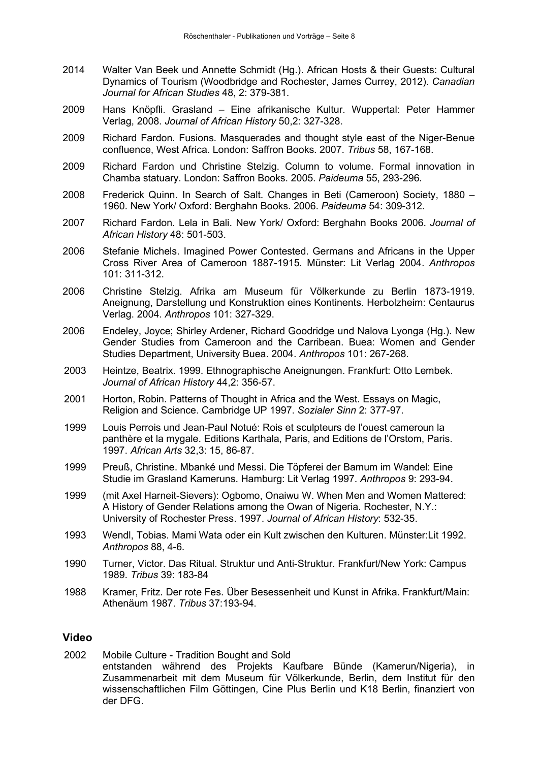- 2014 Walter Van Beek und Annette Schmidt (Hg.). African Hosts & their Guests: Cultural Dynamics of Tourism (Woodbridge and Rochester, James Currey, 2012). *Canadian Journal for African Studies* 48, 2: 379-381.
- 2009 Hans Knöpfli. Grasland Eine afrikanische Kultur. Wuppertal: Peter Hammer Verlag, 2008. *Journal of African History* 50,2: 327-328.
- 2009 Richard Fardon. Fusions. Masquerades and thought style east of the Niger-Benue confluence, West Africa. London: Saffron Books. 2007. *Tribus* 58, 167-168.
- 2009 Richard Fardon und Christine Stelzig. Column to volume. Formal innovation in Chamba statuary. London: Saffron Books. 2005. *Paideuma* 55, 293-296.
- 2008 Frederick Quinn. In Search of Salt. Changes in Beti (Cameroon) Society, 1880 1960. New York/ Oxford: Berghahn Books. 2006. *Paideuma* 54: 309-312.
- 2007 Richard Fardon. Lela in Bali. New York/ Oxford: Berghahn Books 2006. *Journal of African History* 48: 501-503.
- 2006 Stefanie Michels. Imagined Power Contested. Germans and Africans in the Upper Cross River Area of Cameroon 1887-1915. Münster: Lit Verlag 2004. *Anthropos* 101: 311-312.
- 2006 Christine Stelzig. Afrika am Museum für Völkerkunde zu Berlin 1873-1919. Aneignung, Darstellung und Konstruktion eines Kontinents. Herbolzheim: Centaurus Verlag. 2004. *Anthropos* 101: 327-329.
- 2006 Endeley, Joyce; Shirley Ardener, Richard Goodridge und Nalova Lyonga (Hg.). New Gender Studies from Cameroon and the Carribean. Buea: Women and Gender Studies Department, University Buea. 2004. *Anthropos* 101: 267-268.
- 2003 Heintze, Beatrix. 1999. Ethnographische Aneignungen. Frankfurt: Otto Lembek. *Journal of African History* 44,2: 356-57.
- 2001 Horton, Robin. Patterns of Thought in Africa and the West. Essays on Magic, Religion and Science. Cambridge UP 1997. *Sozialer Sinn* 2: 377-97.
- 1999 Louis Perrois und Jean-Paul Notué: Rois et sculpteurs de l'ouest cameroun la panthère et la mygale. Editions Karthala, Paris, and Editions de l'Orstom, Paris. 1997. *African Arts* 32,3: 15, 86-87.
- 1999 Preuß, Christine. Mbanké und Messi. Die Töpferei der Bamum im Wandel: Eine Studie im Grasland Kameruns. Hamburg: Lit Verlag 1997. *Anthropos* 9: 293-94.
- 1999 (mit Axel Harneit-Sievers): Ogbomo, Onaiwu W. When Men and Women Mattered: A History of Gender Relations among the Owan of Nigeria. Rochester, N.Y.: University of Rochester Press. 1997. *Journal of African History*: 532-35.
- 1993 Wendl, Tobias. Mami Wata oder ein Kult zwischen den Kulturen. Münster:Lit 1992. *Anthropos* 88, 4-6.
- 1990 Turner, Victor. Das Ritual. Struktur und Anti-Struktur. Frankfurt/New York: Campus 1989. *Tribus* 39: 183-84
- 1988 Kramer, Fritz. Der rote Fes. Über Besessenheit und Kunst in Afrika. Frankfurt/Main: Athenäum 1987. *Tribus* 37:193-94.

#### **Video**

2002 Mobile Culture - Tradition Bought and Sold entstanden während des Projekts Kaufbare Bünde (Kamerun/Nigeria), in Zusammenarbeit mit dem Museum für Völkerkunde, Berlin, dem Institut für den wissenschaftlichen Film Göttingen, Cine Plus Berlin und K18 Berlin, finanziert von der DFG.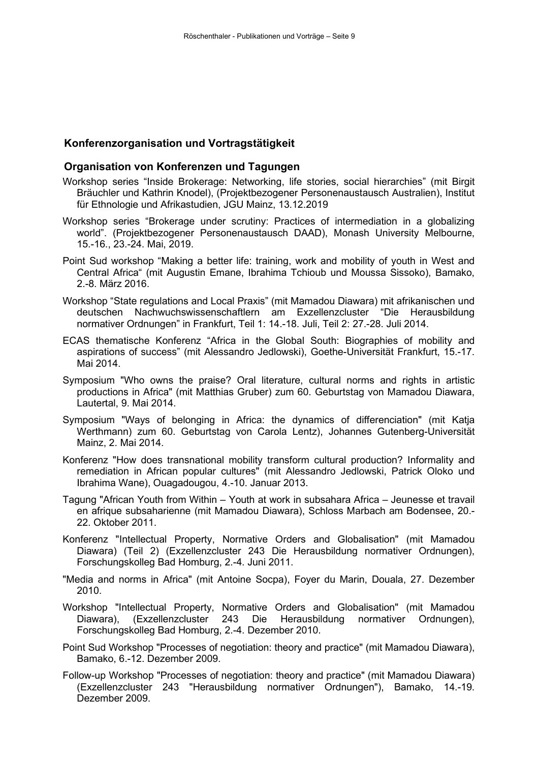# **Konferenzorganisation und Vortragstätigkeit**

### **Organisation von Konferenzen und Tagungen**

- Workshop series "Inside Brokerage: Networking, life stories, social hierarchies" (mit Birgit Bräuchler und Kathrin Knodel), (Projektbezogener Personenaustausch Australien), Institut für Ethnologie und Afrikastudien, JGU Mainz, 13.12.2019
- Workshop series "Brokerage under scrutiny: Practices of intermediation in a globalizing world". (Projektbezogener Personenaustausch DAAD), Monash University Melbourne, 15.-16., 23.-24. Mai, 2019.
- Point Sud workshop "Making a better life: training, work and mobility of youth in West and Central Africa" (mit Augustin Emane, Ibrahima Tchioub und Moussa Sissoko), Bamako, 2.-8. März 2016.
- Workshop "State regulations and Local Praxis" (mit Mamadou Diawara) mit afrikanischen und deutschen Nachwuchswissenschaftlern am Exzellenzcluster "Die Herausbildung normativer Ordnungen" in Frankfurt, Teil 1: 14.-18. Juli, Teil 2: 27.-28. Juli 2014.
- ECAS thematische Konferenz "Africa in the Global South: Biographies of mobility and aspirations of success" (mit Alessandro Jedlowski), Goethe-Universität Frankfurt, 15.-17. Mai 2014.
- Symposium "Who owns the praise? Oral literature, cultural norms and rights in artistic productions in Africa" (mit Matthias Gruber) zum 60. Geburtstag von Mamadou Diawara, Lautertal, 9. Mai 2014.
- Symposium "Ways of belonging in Africa: the dynamics of differenciation" (mit Katja Werthmann) zum 60. Geburtstag von Carola Lentz), Johannes Gutenberg-Universität Mainz, 2. Mai 2014.
- Konferenz "How does transnational mobility transform cultural production? Informality and remediation in African popular cultures" (mit Alessandro Jedlowski, Patrick Oloko und Ibrahima Wane), Ouagadougou, 4.-10. Januar 2013.
- Tagung "African Youth from Within Youth at work in subsahara Africa Jeunesse et travail en afrique subsaharienne (mit Mamadou Diawara), Schloss Marbach am Bodensee, 20.- 22. Oktober 2011.
- Konferenz "Intellectual Property, Normative Orders and Globalisation" (mit Mamadou Diawara) (Teil 2) (Exzellenzcluster 243 Die Herausbildung normativer Ordnungen), Forschungskolleg Bad Homburg, 2.-4. Juni 2011.
- "Media and norms in Africa" (mit Antoine Socpa), Foyer du Marin, Douala, 27. Dezember 2010.
- Workshop "Intellectual Property, Normative Orders and Globalisation" (mit Mamadou Herausbildung normativer Ordnungen), Forschungskolleg Bad Homburg, 2.-4. Dezember 2010.
- Point Sud Workshop "Processes of negotiation: theory and practice" (mit Mamadou Diawara), Bamako, 6.-12. Dezember 2009.
- Follow-up Workshop "Processes of negotiation: theory and practice" (mit Mamadou Diawara) (Exzellenzcluster 243 "Herausbildung normativer Ordnungen"), Bamako, 14.-19. Dezember 2009.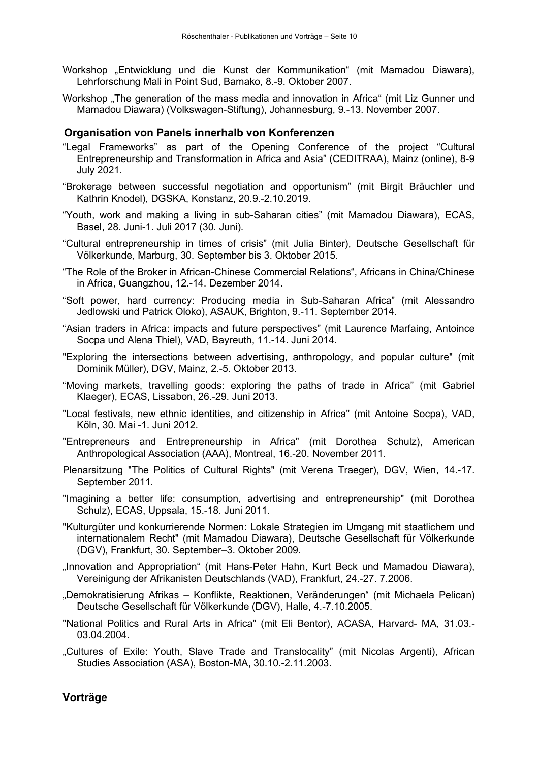- Workshop "Entwicklung und die Kunst der Kommunikation" (mit Mamadou Diawara), Lehrforschung Mali in Point Sud, Bamako, 8.-9. Oktober 2007.
- Workshop "The generation of the mass media and innovation in Africa" (mit Liz Gunner und Mamadou Diawara) (Volkswagen-Stiftung), Johannesburg, 9.-13. November 2007.

# **Organisation von Panels innerhalb von Konferenzen**

- "Legal Frameworks" as part of the Opening Conference of the project "Cultural Entrepreneurship and Transformation in Africa and Asia" (CEDITRAA), Mainz (online), 8-9 July 2021.
- "Brokerage between successful negotiation and opportunism" (mit Birgit Bräuchler und Kathrin Knodel), DGSKA, Konstanz, 20.9.-2.10.2019.
- "Youth, work and making a living in sub-Saharan cities" (mit Mamadou Diawara), ECAS, Basel, 28. Juni-1. Juli 2017 (30. Juni).
- "Cultural entrepreneurship in times of crisis" (mit Julia Binter), Deutsche Gesellschaft für Völkerkunde, Marburg, 30. September bis 3. Oktober 2015.
- "The Role of the Broker in African-Chinese Commercial Relations", Africans in China/Chinese in Africa, Guangzhou, 12.-14. Dezember 2014.
- "Soft power, hard currency: Producing media in Sub-Saharan Africa" (mit Alessandro Jedlowski und Patrick Oloko), ASAUK, Brighton, 9.-11. September 2014.
- "Asian traders in Africa: impacts and future perspectives" (mit Laurence Marfaing, Antoince Socpa und Alena Thiel), VAD, Bayreuth, 11.-14. Juni 2014.
- "Exploring the intersections between advertising, anthropology, and popular culture" (mit Dominik Müller), DGV, Mainz, 2.-5. Oktober 2013.
- "Moving markets, travelling goods: exploring the paths of trade in Africa" (mit Gabriel Klaeger), ECAS, Lissabon, 26.-29. Juni 2013.
- "Local festivals, new ethnic identities, and citizenship in Africa" (mit Antoine Socpa), VAD, Köln, 30. Mai -1. Juni 2012.
- "Entrepreneurs and Entrepreneurship in Africa" (mit Dorothea Schulz), American Anthropological Association (AAA), Montreal, 16.-20. November 2011.
- Plenarsitzung "The Politics of Cultural Rights" (mit Verena Traeger), DGV, Wien, 14.-17. September 2011.
- "Imagining a better life: consumption, advertising and entrepreneurship" (mit Dorothea Schulz), ECAS, Uppsala, 15.-18. Juni 2011.
- "Kulturgüter und konkurrierende Normen: Lokale Strategien im Umgang mit staatlichem und internationalem Recht" (mit Mamadou Diawara), Deutsche Gesellschaft für Völkerkunde (DGV), Frankfurt, 30. September–3. Oktober 2009.
- "Innovation and Appropriation" (mit Hans-Peter Hahn, Kurt Beck und Mamadou Diawara), Vereinigung der Afrikanisten Deutschlands (VAD), Frankfurt, 24.-27. 7.2006.
- "Demokratisierung Afrikas Konflikte, Reaktionen, Veränderungen" (mit Michaela Pelican) Deutsche Gesellschaft für Völkerkunde (DGV), Halle, 4.-7.10.2005.
- "National Politics and Rural Arts in Africa" (mit Eli Bentor), ACASA, Harvard- MA, 31.03.- 03.04.2004.
- "Cultures of Exile: Youth, Slave Trade and Translocality" (mit Nicolas Argenti), African Studies Association (ASA), Boston-MA, 30.10.-2.11.2003.

# **Vorträge**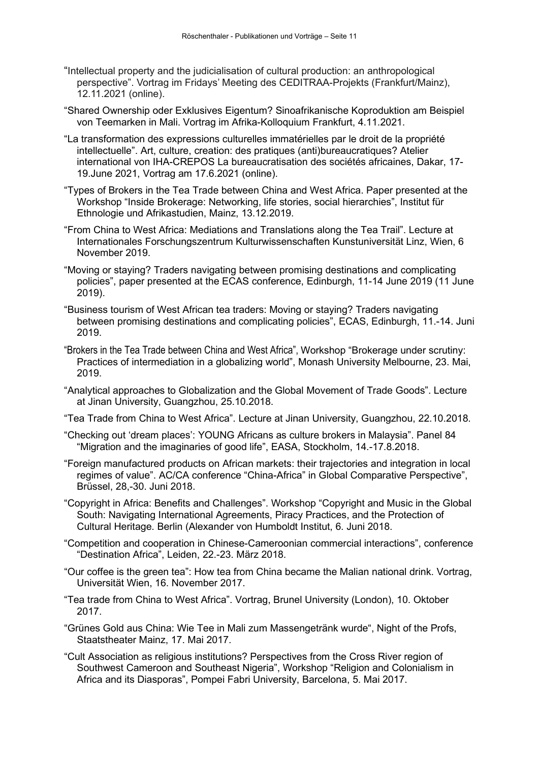- "Intellectual property and the judicialisation of cultural production: an anthropological perspective". Vortrag im Fridays' Meeting des CEDITRAA-Projekts (Frankfurt/Mainz), 12.11.2021 (online).
- "Shared Ownership oder Exklusives Eigentum? Sinoafrikanische Koproduktion am Beispiel von Teemarken in Mali. Vortrag im Afrika-Kolloquium Frankfurt, 4.11.2021.
- "La transformation des expressions culturelles immatérielles par le droit de la propriété intellectuelle". Art, culture, creation: des pratiques (anti)bureaucratiques? Atelier international von IHA-CREPOS La bureaucratisation des sociétés africaines, Dakar, 17- 19.June 2021, Vortrag am 17.6.2021 (online).
- "Types of Brokers in the Tea Trade between China and West Africa. Paper presented at the Workshop "Inside Brokerage: Networking, life stories, social hierarchies", Institut für Ethnologie und Afrikastudien, Mainz, 13.12.2019.
- "From China to West Africa: Mediations and Translations along the Tea Trail". Lecture at Internationales Forschungszentrum Kulturwissenschaften Kunstuniversität Linz, Wien, 6 November 2019.
- "Moving or staying? Traders navigating between promising destinations and complicating policies", paper presented at the ECAS conference, Edinburgh, 11-14 June 2019 (11 June 2019).
- "Business tourism of West African tea traders: Moving or staying? Traders navigating between promising destinations and complicating policies", ECAS, Edinburgh, 11.-14. Juni 2019.
- "Brokers in the Tea Trade between China and West Africa", Workshop "Brokerage under scrutiny: Practices of intermediation in a globalizing world", Monash University Melbourne, 23. Mai, 2019.
- "Analytical approaches to Globalization and the Global Movement of Trade Goods". Lecture at Jinan University, Guangzhou, 25.10.2018.
- "Tea Trade from China to West Africa". Lecture at Jinan University, Guangzhou, 22.10.2018.
- "Checking out 'dream places': YOUNG Africans as culture brokers in Malaysia". Panel 84 "Migration and the imaginaries of good life", EASA, Stockholm, 14.-17.8.2018.
- "Foreign manufactured products on African markets: their trajectories and integration in local regimes of value". AC/CA conference "China-Africa" in Global Comparative Perspective", Brüssel, 28,-30. Juni 2018.
- "Copyright in Africa: Benefits and Challenges". Workshop "Copyright and Music in the Global South: Navigating International Agreements, Piracy Practices, and the Protection of Cultural Heritage. Berlin (Alexander von Humboldt Institut, 6. Juni 2018.
- "Competition and cooperation in Chinese-Cameroonian commercial interactions", conference "Destination Africa", Leiden, 22.-23. März 2018.
- "Our coffee is the green tea": How tea from China became the Malian national drink. Vortrag, Universität Wien, 16. November 2017.
- "Tea trade from China to West Africa". Vortrag, Brunel University (London), 10. Oktober 2017.
- "Grünes Gold aus China: Wie Tee in Mali zum Massengetränk wurde", Night of the Profs, Staatstheater Mainz, 17. Mai 2017.
- "Cult Association as religious institutions? Perspectives from the Cross River region of Southwest Cameroon and Southeast Nigeria", Workshop "Religion and Colonialism in Africa and its Diasporas", Pompei Fabri University, Barcelona, 5. Mai 2017.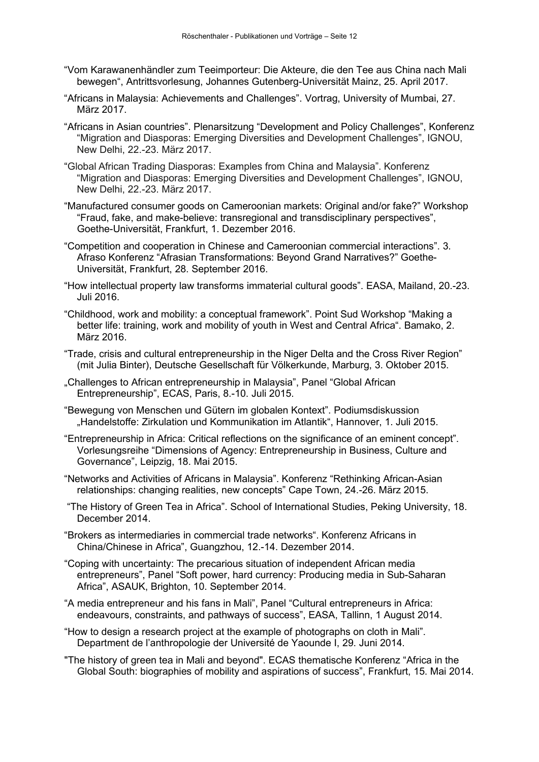- "Vom Karawanenhändler zum Teeimporteur: Die Akteure, die den Tee aus China nach Mali bewegen", Antrittsvorlesung, Johannes Gutenberg-Universität Mainz, 25. April 2017.
- "Africans in Malaysia: Achievements and Challenges". Vortrag, University of Mumbai, 27. März 2017.
- "Africans in Asian countries". Plenarsitzung "Development and Policy Challenges", Konferenz "Migration and Diasporas: Emerging Diversities and Development Challenges", IGNOU, New Delhi, 22.-23. März 2017.
- "Global African Trading Diasporas: Examples from China and Malaysia". Konferenz "Migration and Diasporas: Emerging Diversities and Development Challenges", IGNOU, New Delhi, 22.-23. März 2017.
- "Manufactured consumer goods on Cameroonian markets: Original and/or fake?" Workshop "Fraud, fake, and make-believe: transregional and transdisciplinary perspectives", Goethe-Universität, Frankfurt, 1. Dezember 2016.
- "Competition and cooperation in Chinese and Cameroonian commercial interactions". 3. Afraso Konferenz "Afrasian Transformations: Beyond Grand Narratives?" Goethe-Universität, Frankfurt, 28. September 2016.
- "How intellectual property law transforms immaterial cultural goods". EASA, Mailand, 20.-23. Juli 2016.
- "Childhood, work and mobility: a conceptual framework". Point Sud Workshop "Making a better life: training, work and mobility of youth in West and Central Africa". Bamako, 2. März 2016.
- "Trade, crisis and cultural entrepreneurship in the Niger Delta and the Cross River Region" (mit Julia Binter), Deutsche Gesellschaft für Völkerkunde, Marburg, 3. Oktober 2015.
- "Challenges to African entrepreneurship in Malaysia", Panel "Global African" Entrepreneurship", ECAS, Paris, 8.-10. Juli 2015.
- "Bewegung von Menschen und Gütern im globalen Kontext". Podiumsdiskussion "Handelstoffe: Zirkulation und Kommunikation im Atlantik", Hannover, 1. Juli 2015.
- "Entrepreneurship in Africa: Critical reflections on the significance of an eminent concept". Vorlesungsreihe "Dimensions of Agency: Entrepreneurship in Business, Culture and Governance", Leipzig, 18. Mai 2015.
- "Networks and Activities of Africans in Malaysia". Konferenz "Rethinking African-Asian relationships: changing realities, new concepts" Cape Town, 24.-26. März 2015.
- "The History of Green Tea in Africa". School of International Studies, Peking University, 18. December 2014.
- "Brokers as intermediaries in commercial trade networks". Konferenz Africans in China/Chinese in Africa", Guangzhou, 12.-14. Dezember 2014.
- "Coping with uncertainty: The precarious situation of independent African media entrepreneurs", Panel "Soft power, hard currency: Producing media in Sub-Saharan Africa", ASAUK, Brighton, 10. September 2014.
- "A media entrepreneur and his fans in Mali", Panel "Cultural entrepreneurs in Africa: endeavours, constraints, and pathways of success", EASA, Tallinn, 1 August 2014.
- "How to design a research project at the example of photographs on cloth in Mali". Department de l'anthropologie der Université de Yaounde I, 29. Juni 2014.
- "The history of green tea in Mali and beyond". ECAS thematische Konferenz "Africa in the Global South: biographies of mobility and aspirations of success", Frankfurt, 15. Mai 2014.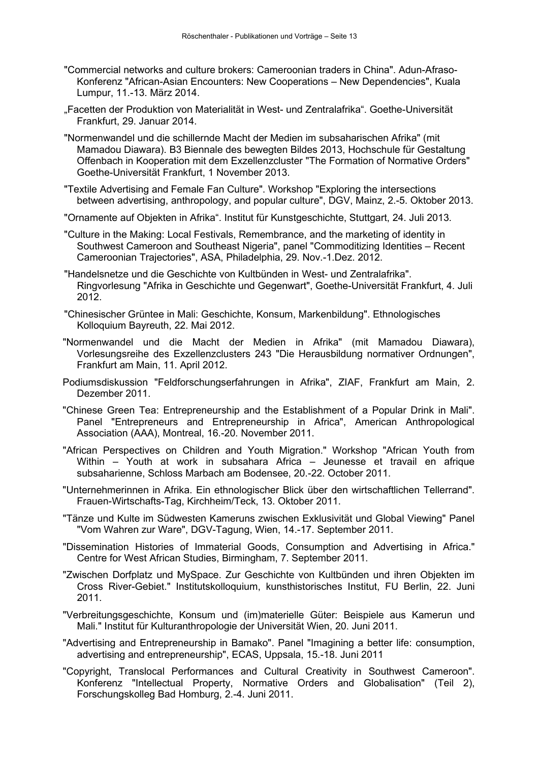- "Commercial networks and culture brokers: Cameroonian traders in China". Adun-Afraso-Konferenz "African-Asian Encounters: New Cooperations – New Dependencies", Kuala Lumpur, 11.-13. März 2014.
- "Facetten der Produktion von Materialität in West- und Zentralafrika". Goethe-Universität Frankfurt, 29. Januar 2014.
- "Normenwandel und die schillernde Macht der Medien im subsaharischen Afrika" (mit Mamadou Diawara). B3 Biennale des bewegten Bildes 2013, Hochschule für Gestaltung Offenbach in Kooperation mit dem Exzellenzcluster "The Formation of Normative Orders" Goethe-Universität Frankfurt, 1 November 2013.
- "Textile Advertising and Female Fan Culture". Workshop "Exploring the intersections between advertising, anthropology, and popular culture", DGV, Mainz, 2.-5. Oktober 2013.
- "Ornamente auf Objekten in Afrika". Institut für Kunstgeschichte, Stuttgart, 24. Juli 2013.
- "Culture in the Making: Local Festivals, Remembrance, and the marketing of identity in Southwest Cameroon and Southeast Nigeria", panel "Commoditizing Identities – Recent Cameroonian Trajectories", ASA, Philadelphia, 29. Nov.-1.Dez. 2012.
- "Handelsnetze und die Geschichte von Kultbünden in West- und Zentralafrika". Ringvorlesung "Afrika in Geschichte und Gegenwart", Goethe-Universität Frankfurt, 4. Juli 2012.
- "Chinesischer Grüntee in Mali: Geschichte, Konsum, Markenbildung". Ethnologisches Kolloquium Bayreuth, 22. Mai 2012.
- "Normenwandel und die Macht der Medien in Afrika" (mit Mamadou Diawara), Vorlesungsreihe des Exzellenzclusters 243 "Die Herausbildung normativer Ordnungen", Frankfurt am Main, 11. April 2012.
- Podiumsdiskussion "Feldforschungserfahrungen in Afrika", ZIAF, Frankfurt am Main, 2. Dezember 2011.
- "Chinese Green Tea: Entrepreneurship and the Establishment of a Popular Drink in Mali". Panel "Entrepreneurs and Entrepreneurship in Africa", American Anthropological Association (AAA), Montreal, 16.-20. November 2011.
- "African Perspectives on Children and Youth Migration." Workshop "African Youth from Within – Youth at work in subsahara Africa – Jeunesse et travail en afrique subsaharienne, Schloss Marbach am Bodensee, 20.-22. October 2011.
- "Unternehmerinnen in Afrika. Ein ethnologischer Blick über den wirtschaftlichen Tellerrand". Frauen-Wirtschafts-Tag, Kirchheim/Teck, 13. Oktober 2011.
- "Tänze und Kulte im Südwesten Kameruns zwischen Exklusivität und Global Viewing" Panel "Vom Wahren zur Ware", DGV-Tagung, Wien, 14.-17. September 2011.
- "Dissemination Histories of Immaterial Goods, Consumption and Advertising in Africa." Centre for West African Studies, Birmingham, 7. September 2011.
- "Zwischen Dorfplatz und MySpace. Zur Geschichte von Kultbünden und ihren Objekten im Cross River-Gebiet." Institutskolloquium, kunsthistorisches Institut, FU Berlin, 22. Juni 2011.
- "Verbreitungsgeschichte, Konsum und (im)materielle Güter: Beispiele aus Kamerun und Mali." Institut für Kulturanthropologie der Universität Wien, 20. Juni 2011.
- "Advertising and Entrepreneurship in Bamako". Panel "Imagining a better life: consumption, advertising and entrepreneurship", ECAS, Uppsala, 15.-18. Juni 2011
- "Copyright, Translocal Performances and Cultural Creativity in Southwest Cameroon". Konferenz "Intellectual Property, Normative Orders and Globalisation" (Teil 2), Forschungskolleg Bad Homburg, 2.-4. Juni 2011.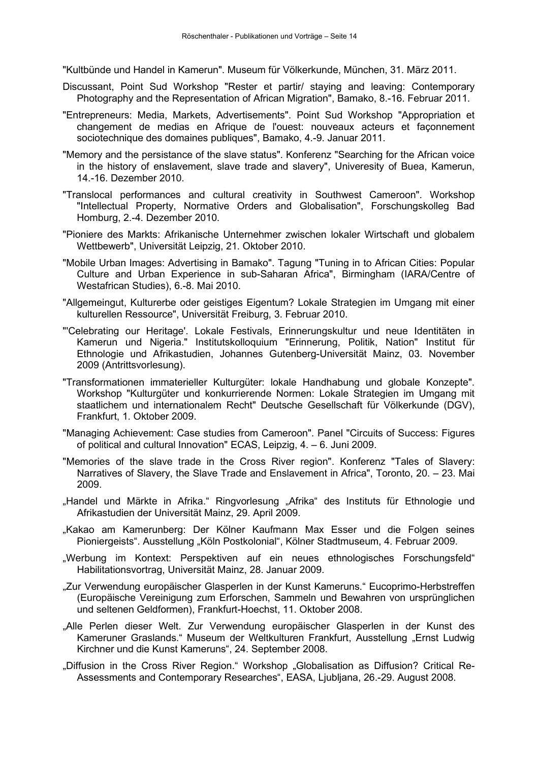"Kultbünde und Handel in Kamerun". Museum für Völkerkunde, München, 31. März 2011.

- Discussant, Point Sud Workshop "Rester et partir/ staying and leaving: Contemporary Photography and the Representation of African Migration", Bamako, 8.-16. Februar 2011.
- "Entrepreneurs: Media, Markets, Advertisements". Point Sud Workshop "Appropriation et changement de medias en Afrique de l'ouest: nouveaux acteurs et façonnement sociotechnique des domaines publiques", Bamako, 4.-9. Januar 2011.
- "Memory and the persistance of the slave status". Konferenz "Searching for the African voice in the history of enslavement, slave trade and slavery", Univeresity of Buea, Kamerun, 14.-16. Dezember 2010.
- "Translocal performances and cultural creativity in Southwest Cameroon". Workshop "Intellectual Property, Normative Orders and Globalisation", Forschungskolleg Bad Homburg, 2.-4. Dezember 2010.
- "Pioniere des Markts: Afrikanische Unternehmer zwischen lokaler Wirtschaft und globalem Wettbewerb", Universität Leipzig, 21. Oktober 2010.
- "Mobile Urban Images: Advertising in Bamako". Tagung "Tuning in to African Cities: Popular Culture and Urban Experience in sub-Saharan Africa", Birmingham (IARA/Centre of Westafrican Studies), 6.-8. Mai 2010.
- "Allgemeingut, Kulturerbe oder geistiges Eigentum? Lokale Strategien im Umgang mit einer kulturellen Ressource", Universität Freiburg, 3. Februar 2010.
- "'Celebrating our Heritage'. Lokale Festivals, Erinnerungskultur und neue Identitäten in Kamerun und Nigeria." Institutskolloquium "Erinnerung, Politik, Nation" Institut für Ethnologie und Afrikastudien, Johannes Gutenberg-Universität Mainz, 03. November 2009 (Antrittsvorlesung).
- "Transformationen immaterieller Kulturgüter: lokale Handhabung und globale Konzepte". Workshop "Kulturgüter und konkurrierende Normen: Lokale Strategien im Umgang mit staatlichem und internationalem Recht" Deutsche Gesellschaft für Völkerkunde (DGV), Frankfurt, 1. Oktober 2009.
- "Managing Achievement: Case studies from Cameroon". Panel "Circuits of Success: Figures of political and cultural Innovation" ECAS, Leipzig, 4. – 6. Juni 2009.
- "Memories of the slave trade in the Cross River region". Konferenz "Tales of Slavery: Narratives of Slavery, the Slave Trade and Enslavement in Africa", Toronto, 20. – 23. Mai 2009.
- "Handel und Märkte in Afrika." Ringvorlesung "Afrika" des Instituts für Ethnologie und Afrikastudien der Universität Mainz, 29. April 2009.
- "Kakao am Kamerunberg: Der Kölner Kaufmann Max Esser und die Folgen seines Pioniergeists". Ausstellung "Köln Postkolonial", Kölner Stadtmuseum, 4. Februar 2009.
- "Werbung im Kontext: Perspektiven auf ein neues ethnologisches Forschungsfeld" Habilitationsvortrag, Universität Mainz, 28. Januar 2009.
- "Zur Verwendung europäischer Glasperlen in der Kunst Kameruns." Eucoprimo-Herbstreffen (Europäische Vereinigung zum Erforschen, Sammeln und Bewahren von ursprünglichen und seltenen Geldformen), Frankfurt-Hoechst, 11. Oktober 2008.
- "Alle Perlen dieser Welt. Zur Verwendung europäischer Glasperlen in der Kunst des Kameruner Graslands." Museum der Weltkulturen Frankfurt, Ausstellung "Ernst Ludwig Kirchner und die Kunst Kameruns", 24. September 2008.
- "Diffusion in the Cross River Region." Workshop "Globalisation as Diffusion? Critical Re-Assessments and Contemporary Researches", EASA, Ljubljana, 26.-29. August 2008.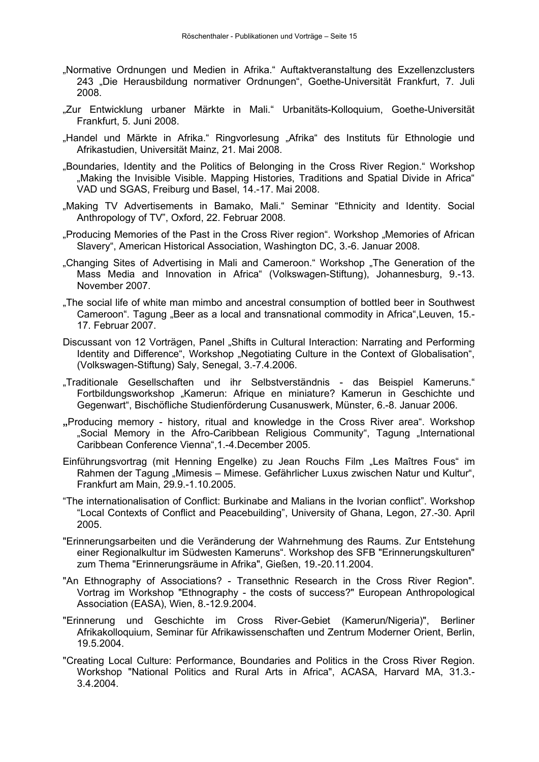- "Normative Ordnungen und Medien in Afrika." Auftaktveranstaltung des Exzellenzclusters 243 "Die Herausbildung normativer Ordnungen", Goethe-Universität Frankfurt, 7. Juli 2008.
- "Zur Entwicklung urbaner Märkte in Mali." Urbanitäts-Kolloquium, Goethe-Universität Frankfurt, 5. Juni 2008.
- "Handel und Märkte in Afrika." Ringvorlesung "Afrika" des Instituts für Ethnologie und Afrikastudien, Universität Mainz, 21. Mai 2008.
- .Boundaries, Identity and the Politics of Belonging in the Cross River Region." Workshop .Making the Invisible Visible. Mapping Histories. Traditions and Spatial Divide in Africa" VAD und SGAS, Freiburg und Basel, 14.-17. Mai 2008.
- "Making TV Advertisements in Bamako, Mali." Seminar "Ethnicity and Identity. Social Anthropology of TV", Oxford, 22. Februar 2008.
- "Producing Memories of the Past in the Cross River region". Workshop "Memories of African" Slavery", American Historical Association, Washington DC, 3.-6. Januar 2008.
- "Changing Sites of Advertising in Mali and Cameroon." Workshop "The Generation of the Mass Media and Innovation in Africa" (Volkswagen-Stiftung), Johannesburg, 9.-13. November 2007.
- "The social life of white man mimbo and ancestral consumption of bottled beer in Southwest Cameroon". Tagung "Beer as a local and transnational commodity in Africa",Leuven, 15.- 17. Februar 2007.
- Discussant von 12 Vorträgen, Panel "Shifts in Cultural Interaction: Narrating and Performing Identity and Difference", Workshop "Negotiating Culture in the Context of Globalisation", (Volkswagen-Stiftung) Saly, Senegal, 3.-7.4.2006.
- "Traditionale Gesellschaften und ihr Selbstverständnis das Beispiel Kameruns." Fortbildungsworkshop "Kamerun: Afrique en miniature? Kamerun in Geschichte und Gegenwart", Bischöfliche Studienförderung Cusanuswerk, Münster, 6.-8. Januar 2006.
- **"**Producing memory history, ritual and knowledge in the Cross River area". Workshop "Social Memory in the Afro-Caribbean Religious Community", Tagung "International Caribbean Conference Vienna",1.-4.December 2005.
- Einführungsvortrag (mit Henning Engelke) zu Jean Rouchs Film "Les Maîtres Fous" im Rahmen der Tagung "Mimesis – Mimese. Gefährlicher Luxus zwischen Natur und Kultur", Frankfurt am Main, 29.9.-1.10.2005.
- "The internationalisation of Conflict: Burkinabe and Malians in the Ivorian conflict". Workshop "Local Contexts of Conflict and Peacebuilding", University of Ghana, Legon, 27.-30. April 2005.
- "Erinnerungsarbeiten und die Veränderung der Wahrnehmung des Raums. Zur Entstehung einer Regionalkultur im Südwesten Kameruns". Workshop des SFB "Erinnerungskulturen" zum Thema "Erinnerungsräume in Afrika", Gießen, 19.-20.11.2004.
- "An Ethnography of Associations? Transethnic Research in the Cross River Region". Vortrag im Workshop "Ethnography - the costs of success?" European Anthropological Association (EASA), Wien, 8.-12.9.2004.
- "Erinnerung und Geschichte im Cross River-Gebiet (Kamerun/Nigeria)", Berliner Afrikakolloquium, Seminar für Afrikawissenschaften und Zentrum Moderner Orient, Berlin, 19.5.2004.
- "Creating Local Culture: Performance, Boundaries and Politics in the Cross River Region. Workshop "National Politics and Rural Arts in Africa", ACASA, Harvard MA, 31.3.- 3.4.2004.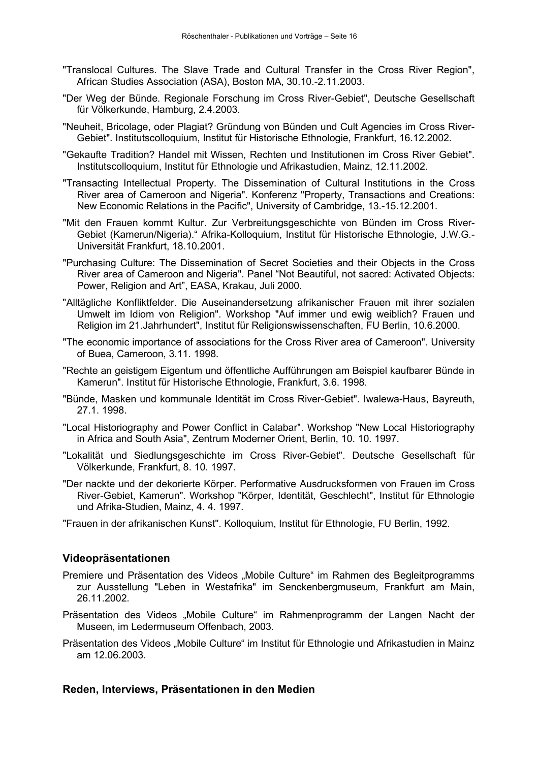- "Translocal Cultures. The Slave Trade and Cultural Transfer in the Cross River Region", African Studies Association (ASA), Boston MA, 30.10.-2.11.2003.
- "Der Weg der Bünde. Regionale Forschung im Cross River-Gebiet", Deutsche Gesellschaft für Völkerkunde, Hamburg, 2.4.2003.
- "Neuheit, Bricolage, oder Plagiat? Gründung von Bünden und Cult Agencies im Cross River-Gebiet". Institutscolloquium, Institut für Historische Ethnologie, Frankfurt, 16.12.2002.
- "Gekaufte Tradition? Handel mit Wissen, Rechten und Institutionen im Cross River Gebiet". Institutscolloquium, Institut für Ethnologie und Afrikastudien, Mainz, 12.11.2002.
- "Transacting Intellectual Property. The Dissemination of Cultural Institutions in the Cross River area of Cameroon and Nigeria". Konferenz "Property, Transactions and Creations: New Economic Relations in the Pacific", University of Cambridge, 13.-15.12.2001.
- "Mit den Frauen kommt Kultur. Zur Verbreitungsgeschichte von Bünden im Cross River-Gebiet (Kamerun/Nigeria)." Afrika-Kolloquium, Institut für Historische Ethnologie, J.W.G.- Universität Frankfurt, 18.10.2001.
- "Purchasing Culture: The Dissemination of Secret Societies and their Objects in the Cross River area of Cameroon and Nigeria". Panel "Not Beautiful, not sacred: Activated Objects: Power, Religion and Art", EASA, Krakau, Juli 2000.
- "Alltägliche Konfliktfelder. Die Auseinandersetzung afrikanischer Frauen mit ihrer sozialen Umwelt im Idiom von Religion". Workshop "Auf immer und ewig weiblich? Frauen und Religion im 21.Jahrhundert", Institut für Religionswissenschaften, FU Berlin, 10.6.2000.
- "The economic importance of associations for the Cross River area of Cameroon". University of Buea, Cameroon, 3.11. 1998.
- "Rechte an geistigem Eigentum und öffentliche Aufführungen am Beispiel kaufbarer Bünde in Kamerun". Institut für Historische Ethnologie, Frankfurt, 3.6. 1998.
- "Bünde, Masken und kommunale Identität im Cross River-Gebiet". Iwalewa-Haus, Bayreuth, 27.1. 1998.
- "Local Historiography and Power Conflict in Calabar". Workshop "New Local Historiography in Africa and South Asia", Zentrum Moderner Orient, Berlin, 10. 10. 1997.
- "Lokalität und Siedlungsgeschichte im Cross River-Gebiet". Deutsche Gesellschaft für Völkerkunde, Frankfurt, 8. 10. 1997.
- "Der nackte und der dekorierte Körper. Performative Ausdrucksformen von Frauen im Cross River-Gebiet, Kamerun". Workshop "Körper, Identität, Geschlecht", Institut für Ethnologie und Afrika-Studien, Mainz, 4. 4. 1997.
- "Frauen in der afrikanischen Kunst". Kolloquium, Institut für Ethnologie, FU Berlin, 1992.

# **Videopräsentationen**

- Premiere und Präsentation des Videos "Mobile Culture" im Rahmen des Begleitprogramms zur Ausstellung "Leben in Westafrika" im Senckenbergmuseum, Frankfurt am Main, 26.11.2002.
- Präsentation des Videos "Mobile Culture" im Rahmenprogramm der Langen Nacht der Museen, im Ledermuseum Offenbach, 2003.
- Präsentation des Videos "Mobile Culture" im Institut für Ethnologie und Afrikastudien in Mainz am 12.06.2003.

# **Reden, Interviews, Präsentationen in den Medien**